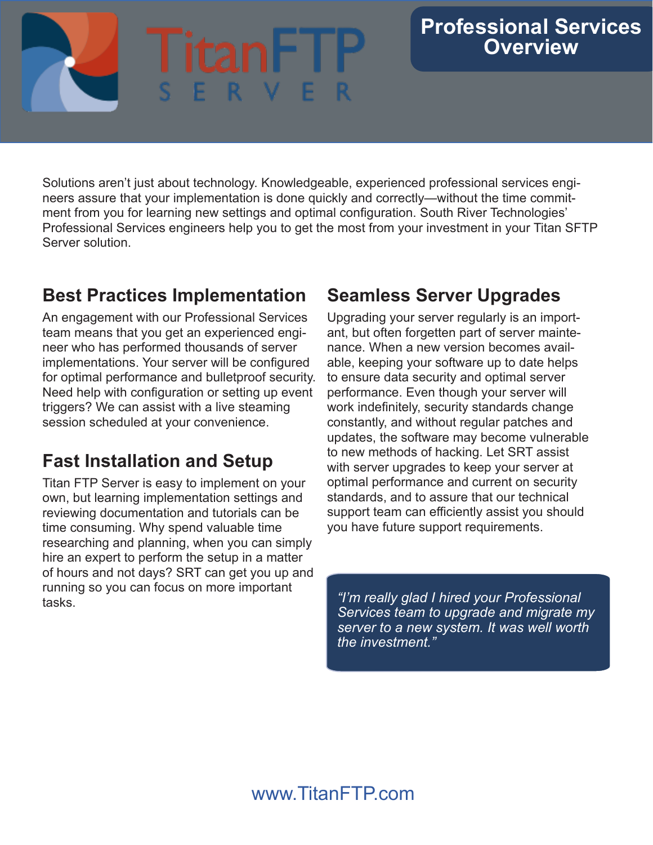# **ital**

## **Professional Services Overview**

Solutions aren't just about technology. Knowledgeable, experienced professional services engineers assure that your implementation is done quickly and correctly—without the time commitment from you for learning new settings and optimal configuration. South River Technologies' Professional Services engineers help you to get the most from your investment in your Titan SFTP Server solution.

# **Best Practices Implementation**

An engagement with our Professional Services team means that you get an experienced engineer who has performed thousands of server implementations. Your server will be configured for optimal performance and bulletproof security. Need help with configuration or setting up event triggers? We can assist with a live steaming session scheduled at your convenience.

# **Fast Installation and Setup**

Titan FTP Server is easy to implement on your own, but learning implementation settings and reviewing documentation and tutorials can be time consuming. Why spend valuable time researching and planning, when you can simply hire an expert to perform the setup in a matter of hours and not days? SRT can get you up and running so you can focus on more important tasks. *"I'm really glad I hired your Professional* 

# **Seamless Server Upgrades**

Upgrading your server regularly is an important, but often forgetten part of server maintenance. When a new version becomes available, keeping your software up to date helps to ensure data security and optimal server performance. Even though your server will work indefinitely, security standards change constantly, and without regular patches and updates, the software may become vulnerable to new methods of hacking. Let SRT assist with server upgrades to keep your server at optimal performance and current on security standards, and to assure that our technical support team can efficiently assist you should you have future support requirements.

 *Services team to upgrade and migrate my server to a new system. It was well worth the investment."*